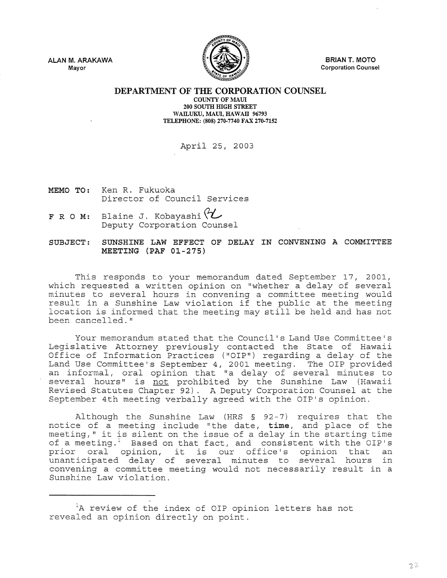ALAN M. ARAKAWA Mayor



BRIAN T. MOTO Corporation Counsel

DEPARTMENT OF THE CORPORATION COUNSEL

COUNTY OF MAUI 200 SOUTII HIGH STREET WAILUKU, MAUI, HAWAII 96793 TELEPHONE: (808) 270-7740 FAX 270-7152

## April 25, 2003

- MEMO TO: Ken R. Fukuoka Director of Council Services
- F R O M: Blaine J. Kobayashi (2)

SUBJECT: SUNSHINE LAW EFFECT OF DELAY IN CONVENING A COMMITTEE MEETING (PAF 01-275)

This responds to your memorandum dated September 17, 2001, which requested a written opinion on "whether a delay of several minutes to several hours in convening a committee meeting would result in a Sunshine Law violation if the public at the meeting location is informed that the meeting may still be held and has not been cancelled."

Your memorandum stated that the Council's Land Use Committee's Legislative Attorney previously contacted the State of Hawaii Office of Information Practices ("OIP") regarding a delay of the Land Use Committee's September 4, 2001 meeting. The OIP provided an informal, oral opinion that "a delay of several minutes to several hours" is <u>not</u> prohibited by the Sunshine Law (Hawaii Revised Statutes Chapter 92). A Deputy Corporation Counsel at the September 4th meeting verbally agreed with the OIP's opinion.

Although the Sunshine Law (HRS  $\S$  92-7) requires that the notice of a meeting include "the date, time, and place of the meeting," it is silent on the issue of a delay in the starting time of a meeting." Based on that fact, and consistent with the OIP's prior oral opinion, it is our office's opinion that an unanticipated delay of several minutes to several hours in convening a committee meeting would not necessarily result in a Sunshine Law violation.

<sup>&</sup>lt;sup>1</sup>A review of the index of OIP opinion letters has not revealed an opinion directly on point.